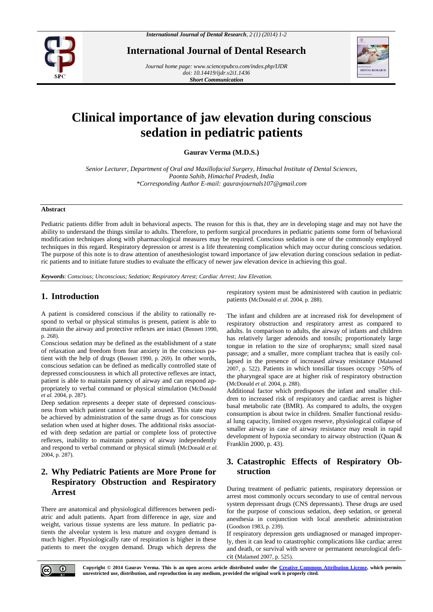

**International Journal of Dental Research**

*Journal home page[: www.sciencepubco.com/index.php/IJDR](http://www.sciencepubco.com/index.php/IJDR) doi: 10.14419/ijdr.v2i1.1436 Short Communication*



# **Clinical importance of jaw elevation during conscious sedation in pediatric patients**

**Gaurav Verma (M.D.S.)**

*Senior Lecturer, Department of Oral and Maxillofacial Surgery, Himachal Institute of Dental Sciences, Paonta Sahib, Himachal Pradesh, India \*Corresponding Author E-mail: [gauravjournals107@gmail.com](mailto:gauravjournals107@gmail.com)*

#### **Abstract**

Pediatric patients differ from adult in behavioral aspects. The reason for this is that, they are in developing stage and may not have the ability to understand the things similar to adults. Therefore, to perform surgical procedures in pediatric patients some form of behavioral modification techniques along with pharmacological measures may be required. Conscious sedation is one of the commonly employed techniques in this regard. Respiratory depression or arrest is a life threatening complication which may occur during conscious sedation. The purpose of this note is to draw attention of anesthesiologist toward importance of jaw elevation during conscious sedation in pediatric patients and to initiate future studies to evaluate the efficacy of newer jaw elevation device in achieving this goal.

*Keywords*: *Conscious; Unconscious; Sedation; Respiratory Arrest; Cardiac Arrest; Jaw Elevation.*

### **1. Introduction**

A patient is considered conscious if the ability to rationally respond to verbal or physical stimulus is present, patient is able to maintain the airway and protective reflexes are intact (Bennett 1990, p. 268).

Conscious sedation may be defined as the establishment of a state of relaxation and freedom from fear anxiety in the conscious patient with the help of drugs (Bennett 1990, p. 269). In other words, conscious sedation can be defined as medically controlled state of depressed consciousness in which all protective reflexes are intact, patient is able to maintain patency of airway and can respond appropriately to verbal command or physical stimulation (McDonald *et al.* 2004, p. 287).

Deep sedation represents a deeper state of depressed consciousness from which patient cannot be easily aroused. This state may be achieved by administration of the same drugs as for conscious sedation when used at higher doses. The additional risks associated with deep sedation are partial or complete loss of protective reflexes, inability to maintain patency of airway independently and respond to verbal command or physical stimuli (McDonald *et al.* 2004, p. 287).

# **2. Why Pediatric Patients are More Prone for Respiratory Obstruction and Respiratory Arrest**

There are anatomical and physiological differences between pediatric and adult patients. Apart from difference in age, size and weight, various tissue systems are less mature. In pediatric patients the alveolar system is less mature and oxygen demand is much higher. Physiologically rate of respiration is higher in these patients to meet the oxygen demand. Drugs which depress the respiratory system must be administered with caution in pediatric patients (McDonald *et al.* 2004, p. 288).

The infant and children are at increased risk for development of respiratory obstruction and respiratory arrest as compared to adults. In comparison to adults, the airway of infants and children has relatively larger adenoids and tonsils; proportionately large tongue in relation to the size of oropharynx; small sized nasal passage; and a smaller, more compliant trachea that is easily collapsed in the presence of increased airway resistance (Malamed 2007, p. 522). Patients in which tonsillar tissues occupy >50% of the pharyngeal space are at higher risk of respiratory obstruction (McDonald *et al.* 2004, p. 288).

Additional factor which predisposes the infant and smaller children to increased risk of respiratory and cardiac arrest is higher basal metabolic rate (BMR). As compared to adults, the oxygen consumption is about twice in children. Smaller functional residual lung capacity, limited oxygen reserve, physiological collapse of smaller airway in case of airway resistance may result in rapid development of hypoxia secondary to airway obstruction (Quan & Franklin 2000, p. 43).

# **3. Catastrophic Effects of Respiratory Obstruction**

During treatment of pediatric patients, respiratory depression or arrest most commonly occurs secondary to use of central nervous system depressant drugs (CNS depressants). These drugs are used for the purpose of conscious sedation, deep sedation, or general anesthesia in conjunction with local anesthetic administration (Goodson 1983, p. 239).

If respiratory depression gets undiagnosed or managed improperly, then it can lead to catastrophic complications like cardiac arrest and death, or survival with severe or permanent neurological deficit (Malamed 2007, p. 525).



**Copyright © 2014 Gaurav Verma. This is an open access article distributed under the Creative Commons Attribution License, which permits unrestricted use, distribution, and reproduction in any medium, provided the original work is properly cited.**